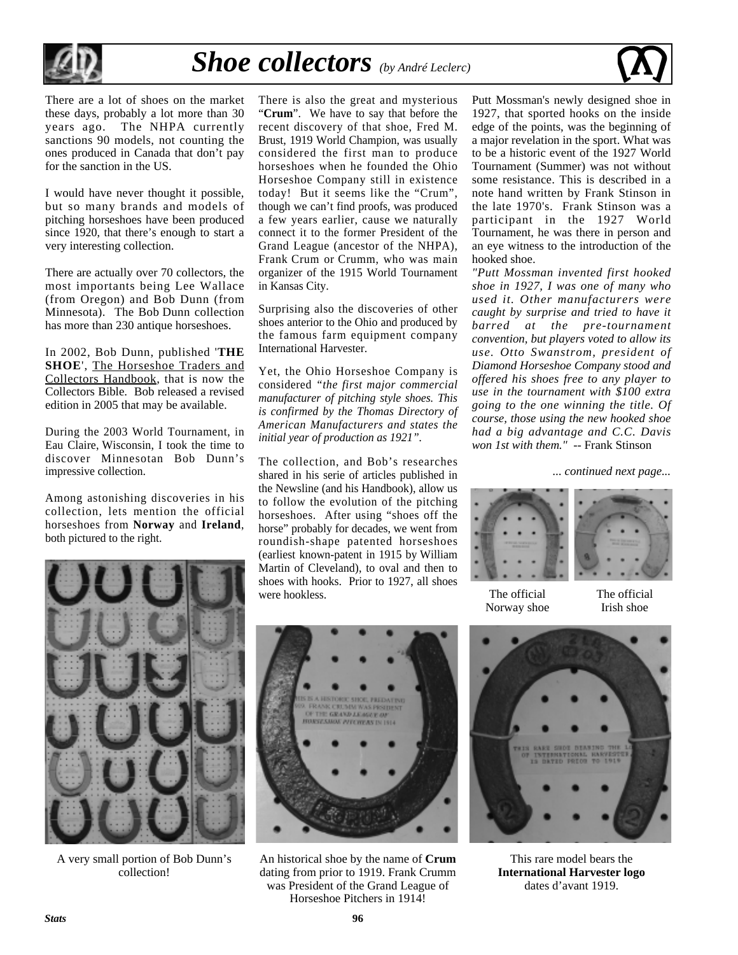

# *Shoe collectors (by André Leclerc)*



There are a lot of shoes on the market these days, probably a lot more than 30 years ago. The NHPA currently sanctions 90 models, not counting the ones produced in Canada that don't pay for the sanction in the US.

I would have never thought it possible, but so many brands and models of pitching horseshoes have been produced since 1920, that there's enough to start a very interesting collection.

There are actually over 70 collectors, the most importants being Lee Wallace (from Oregon) and Bob Dunn (from Minnesota). The Bob Dunn collection has more than 230 antique horseshoes.

In 2002, Bob Dunn, published '**THE SHOE**', The Horseshoe Traders and Collectors Handbook, that is now the Collectors Bible. Bob released a revised edition in 2005 that may be available.

During the 2003 World Tournament, in Eau Claire, Wisconsin, I took the time to discover Minnesotan Bob Dunn's impressive collection.

Among astonishing discoveries in his collection, lets mention the official horseshoes from **Norway** and **Ireland**, both pictured to the right.

There is also the great and mysterious "**Crum**". We have to say that before the recent discovery of that shoe, Fred M. Brust, 1919 World Champion, was usually considered the first man to produce horseshoes when he founded the Ohio Horseshoe Company still in existence today! But it seems like the "Crum", though we can't find proofs, was produced a few years earlier, cause we naturally connect it to the former President of the Grand League (ancestor of the NHPA), Frank Crum or Crumm, who was main organizer of the 1915 World Tournament in Kansas City.

Surprising also the discoveries of other shoes anterior to the Ohio and produced by the famous farm equipment company International Harvester.

Yet, the Ohio Horseshoe Company is considered *"the first major commercial manufacturer of pitching style shoes. This is confirmed by the Thomas Directory of American Manufacturers and states the initial year of production as 1921".*

The collection, and Bob's researches shared in his serie of articles published in the Newsline (and his Handbook), allow us to follow the evolution of the pitching horseshoes. After using "shoes off the horse" probably for decades, we went from roundish-shape patented horseshoes (earliest known-patent in 1915 by William Martin of Cleveland), to oval and then to shoes with hooks. Prior to 1927, all shoes were hookless.

Putt Mossman's newly designed shoe in 1927, that sported hooks on the inside edge of the points, was the beginning of a major revelation in the sport. What was to be a historic event of the 1927 World Tournament (Summer) was not without some resistance. This is described in a note hand written by Frank Stinson in the late 1970's. Frank Stinson was a participant in the 1927 World Tournament, he was there in person and an eye witness to the introduction of the hooked shoe.

*"Putt Mossman invented first hooked shoe in 1927, I was one of many who used it. Other manufacturers were caught by surprise and tried to have it barred at the pre-tournament convention, but players voted to allow its use. Otto Swanstrom, president of Diamond Horseshoe Company stood and offered his shoes free to any player to use in the tournament with \$100 extra going to the one winning the title. Of course, those using the new hooked shoe had a big advantage and C.C. Davis won 1st with them." -*- Frank Stinson

*... continued next page...*



The official Norway shoe

The official Irish shoe



A very small portion of Bob Dunn's collection!



An historical shoe by the name of **Crum** dating from prior to 1919. Frank Crumm was President of the Grand League of Horseshoe Pitchers in 1914!



This rare model bears the **International Harvester logo** dates d'avant 1919.